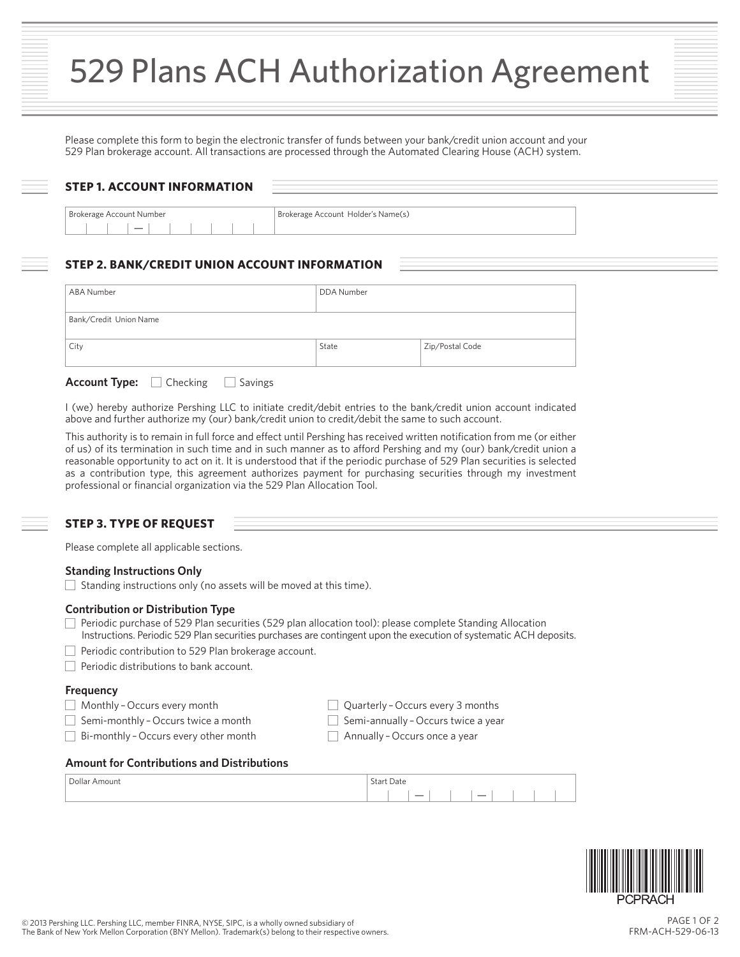Please complete this form to begin the electronic transfer of funds between your bank/credit union account and your 529 Plan brokerage account. All transactions are processed through the Automated Clearing House (ACH) system.

| <b>STEP 1. ACCOUNT INFORMATION</b> |                                    |  |
|------------------------------------|------------------------------------|--|
| Brokerage Account Number           | Brokerage Account Holder's Name(s) |  |
| $\overline{\phantom{a}}$           |                                    |  |

## **STEP 2. BANK/CREDIT UNION ACCOUNT INFORMATION**

| ABA Number             | DDA Number |                 |
|------------------------|------------|-----------------|
| Bank/Credit Union Name |            |                 |
| City                   | State      | Zip/Postal Code |

| <b>Account Type:</b> | ∣ Checking | Savings |
|----------------------|------------|---------|
|----------------------|------------|---------|

I (we) hereby authorize Pershing LLC to initiate credit/debit entries to the bank/credit union account indicated above and further authorize my (our) bank/credit union to credit/debit the same to such account.

This authority is to remain in full force and effect until Pershing has received written notification from me (or either of us) of its termination in such time and in such manner as to afford Pershing and my (our) bank/credit union a reasonable opportunity to act on it. It is understood that if the periodic purchase of 529 Plan securities is selected as a contribution type, this agreement authorizes payment for purchasing securities through my investment professional or financial organization via the 529 Plan Allocation Tool.

## **STEP 3. TYPE OF REQUEST**

Please complete all applicable sections.

## **Standing Instructions Only**

 $\Box$  Standing instructions only (no assets will be moved at this time).

### **Contribution or Distribution Type**

- Periodic purchase of 529 Plan securities (529 plan allocation tool): please complete Standing Allocation Instructions. Periodic 529 Plan securities purchases are contingent upon the execution of systematic ACH deposits.
- $\Box$  Periodic contribution to 529 Plan brokerage account.
- $\Box$  Periodic distributions to bank account.

## **Frequency**

- Monthly Occurs every month
- $\Box$  Semi-monthly Occurs twice a month
- □ Bi-monthly Occurs every other month
- Quarterly Occurs every 3 months
- $\Box$  Semi-annually Occurs twice a year
- $\Box$  Annually Occurs once a year

#### **Amount for Contributions and Distributions**

| -<br>Dollar<br>: Amount | $\sim$<br>$\sim$ $\sim$<br>Date                      |
|-------------------------|------------------------------------------------------|
|                         | $\overline{\phantom{a}}$<br>$\overline{\phantom{0}}$ |